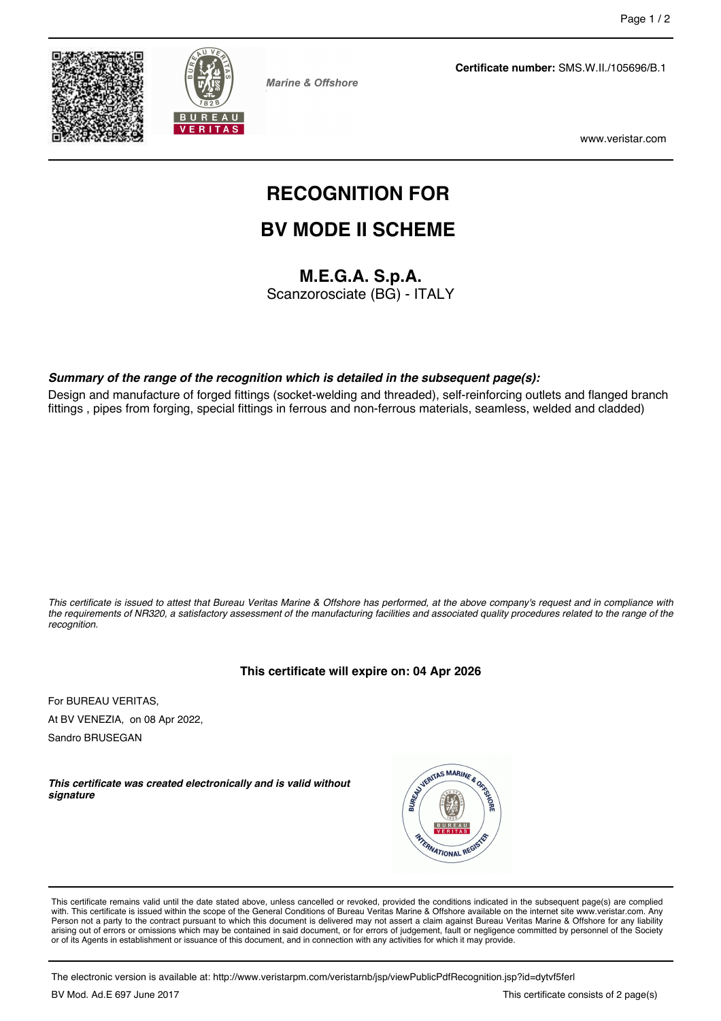



**Marine & Offshore** 

**Certificate number:** SMS.W.II./105696/B.1

www.veristar.com

# **RECOGNITION FOR**

# **BV MODE II SCHEME**

**M.E.G.A. S.p.A.**

Scanzorosciate (BG) - ITALY

#### *Summary of the range of the recognition which is detailed in the subsequent page(s):*

Design and manufacture of forged fittings (socket-welding and threaded), self-reinforcing outlets and flanged branch fittings , pipes from forging, special fittings in ferrous and non-ferrous materials, seamless, welded and cladded)

*This certificate is issued to attest that Bureau Veritas Marine & Offshore has performed, at the above company's request and in compliance with the requirements of NR320, a satisfactory assessment of the manufacturing facilities and associated quality procedures related to the range of the recognition.*

#### **This certificate will expire on: 04 Apr 2026**

For BUREAU VERITAS, At BV VENEZIA, on 08 Apr 2022,

Sandro BRUSEGAN

*This certificate was created electronically and is valid without signature*



This certificate remains valid until the date stated above, unless cancelled or revoked, provided the conditions indicated in the subsequent page(s) are complied with. This certificate is issued within the scope of the General Conditions of Bureau Veritas Marine & Offshore available on the internet site www.veristar.com. Any Person not a party to the contract pursuant to which this document is delivered may not assert a claim against Bureau Veritas Marine & Offshore for any liability arising out of errors or omissions which may be contained in said document, or for errors of judgement, fault or negligence committed by personnel of the Society<br>or of its Agents in establishment or issuance of this docume

The electronic version is available at: http://www.veristarpm.com/veristarnb/jsp/viewPublicPdfRecognition.jsp?id=dytvf5ferl